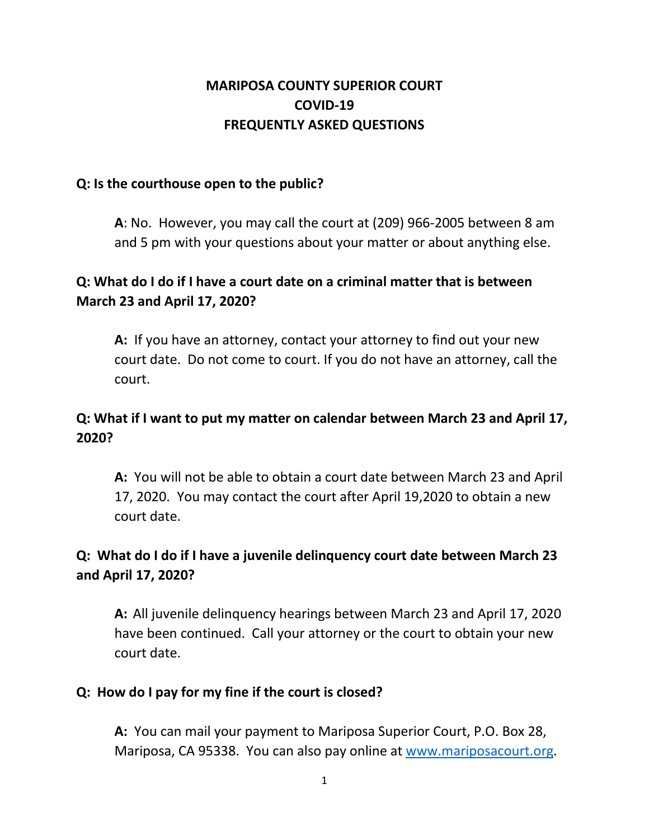### **MARIPOSA COUNTY SUPERIOR COURT COVID-19 FREQUENTLY ASKED QUESTIONS**

#### **Q: Is the courthouse open to the public?**

**A**: No. However, you may call the court at (209) 966-2005 between 8 am and 5 pm with your questions about your matter or about anything else.

### **Q: What do I do if I have a court date on a criminal matter that is between March 23 and April 17, 2020?**

**A:** If you have an attorney, contact your attorney to find out your new court date. Do not come to court. If you do not have an attorney, call the court.

### **Q: What if I want to put my matter on calendar between March 23 and April 17, 2020?**

**A:** You will not be able to obtain a court date between March 23 and April 17, 2020. You may contact the court after April 19,2020 to obtain a new court date.

## **Q: What do I do if I have a juvenile delinquency court date between March 23 and April 17, 2020?**

**A:** All juvenile delinquency hearings between March 23 and April 17, 2020 have been continued. Call your attorney or the court to obtain your new court date.

#### **Q: How do I pay for my fine if the court is closed?**

**A:** You can mail your payment to Mariposa Superior Court, P.O. Box 28, Mariposa, CA 95338. You can also pay online at www.mariposacourt.org.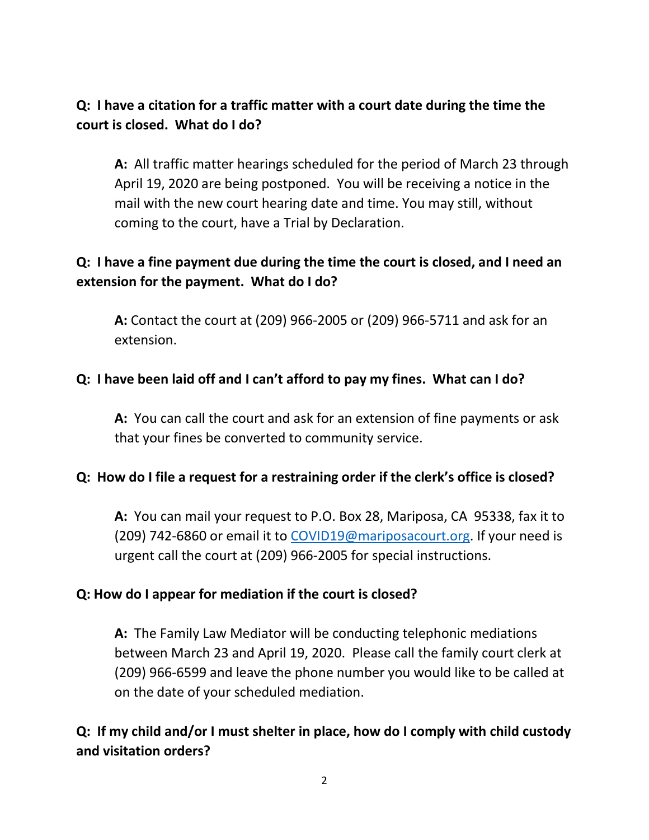### **Q: I have a citation for a traffic matter with a court date during the time the court is closed. What do I do?**

**A:** All traffic matter hearings scheduled for the period of March 23 through April 19, 2020 are being postponed. You will be receiving a notice in the mail with the new court hearing date and time. You may still, without coming to the court, have a Trial by Declaration.

### **Q: I have a fine payment due during the time the court is closed, and I need an extension for the payment. What do I do?**

**A:** Contact the court at (209) 966-2005 or (209) 966-5711 and ask for an extension.

#### **Q: I have been laid off and I can't afford to pay my fines. What can I do?**

**A:** You can call the court and ask for an extension of fine payments or ask that your fines be converted to community service.

#### **Q: How do I file a request for a restraining order if the clerk's office is closed?**

**A:** You can mail your request to P.O. Box 28, Mariposa, CA 95338, fax it to (209) 742-6860 or email it to COVID19@mariposacourt.org. If your need is urgent call the court at (209) 966-2005 for special instructions.

#### **Q: How do I appear for mediation if the court is closed?**

**A:** The Family Law Mediator will be conducting telephonic mediations between March 23 and April 19, 2020. Please call the family court clerk at (209) 966-6599 and leave the phone number you would like to be called at on the date of your scheduled mediation.

## **Q: If my child and/or I must shelter in place, how do I comply with child custody and visitation orders?**